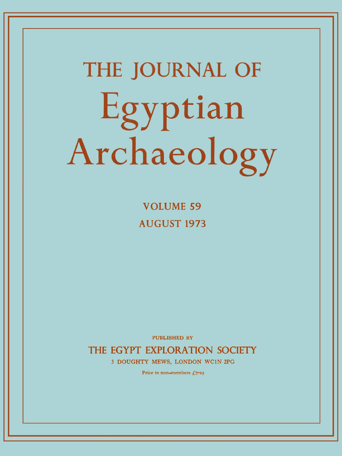# **THE JOURNAL OF**  Egyptian Archaeology

**VOLUME 5 9 AUGUST 197 3** 

PUBLISHED BY

THE EGYPT EXPLORATION SOCIETY

3 DOUGHTY MEWS, LONDON WC1N 2PG

Price to non-members  $f_{0.7}$   $\rightarrow$  5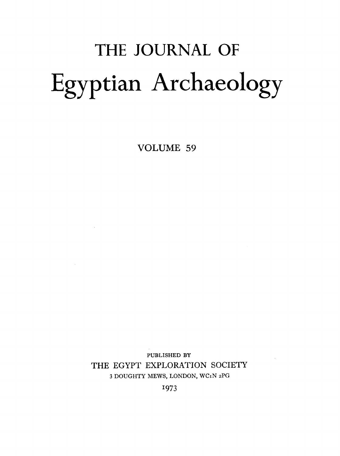# THE JOURNAL OF Egyptian Archaeology

VOLUME 59

 $\mathcal{L}^{\mathcal{L}}(\mathcal{L}^{\mathcal{L}})$  . The  $\mathcal{L}^{\mathcal{L}}(\mathcal{L}^{\mathcal{L}})$ 

**PUBLISHED BY**  THE EGYPT EXPLORATION SOCIETY 3 DOUGHTY MEWS, LONDON, WC1N 2PG

1973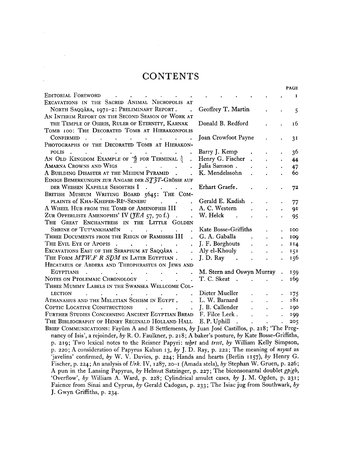#### **CONTENTS**

 $\mathcal{L}^{\text{max}}_{\text{max}}$ 

| EDITORIAL FOREWORD<br><b>Contract Contract</b>                                                                                                                                                                                                       |                                                                     |                             |                      |                            | 1                      |
|------------------------------------------------------------------------------------------------------------------------------------------------------------------------------------------------------------------------------------------------------|---------------------------------------------------------------------|-----------------------------|----------------------|----------------------------|------------------------|
| EXCAVATIONS IN THE SACRED ANIMAL NECROPOLIS AT                                                                                                                                                                                                       |                                                                     |                             |                      |                            |                        |
| NORTH SAQQÂRA, 1971-2: PRELIMINARY REPORT.<br>$\mathbf{r}$                                                                                                                                                                                           | Geoffrey T. Martin                                                  |                             |                      |                            | 5                      |
| AN INTERIM REPORT ON THE SECOND SEASON OF WORK AT                                                                                                                                                                                                    |                                                                     |                             |                      |                            |                        |
| THE TEMPLE OF OSIRIS, RULER OF ETERNITY, KARNAK                                                                                                                                                                                                      | Donald B. Redford                                                   |                             |                      |                            | 16                     |
| TOMB 100: THE DECORATED TOMB AT HIERAKONPOLIS                                                                                                                                                                                                        |                                                                     |                             |                      |                            |                        |
| CONFIRMED.<br>and the contract of the contract of<br>$\mathbf{r}$<br>$\bullet$<br>$\bullet$ . The set of $\mathcal{O}$                                                                                                                               | Joan Crowfoot Payne                                                 |                             |                      |                            | 3 <sup>1</sup>         |
| PHOTOGRAPHS OF THE DECORATED TOMB AT HIERAKON-                                                                                                                                                                                                       |                                                                     |                             |                      |                            |                        |
| POLIS.<br>$\mathcal{L}^{\mathcal{A}}$ . The contribution of the contribution of the contribution of $\mathcal{L}^{\mathcal{A}}$                                                                                                                      | Barry J. Kemp                                                       |                             |                      |                            | 36                     |
| AN OLD KINGDOM EXAMPLE OF $\hat{A}$ for Terminal Q                                                                                                                                                                                                   | Henry G. Fischer .                                                  |                             |                      |                            | 44                     |
| AMARNA CROWNS AND WIGS                                                                                                                                                                                                                               | Julia Samson.                                                       |                             |                      |                            | 47                     |
| A BUILDING DISASTER AT THE MEIDUM PYRAMID.                                                                                                                                                                                                           | K. Mendelssohn                                                      |                             |                      |                            | 60                     |
| EINIGE BEMERKUNGEN ZUR ANGABE DER ST3T-GRÖSSE AUF                                                                                                                                                                                                    |                                                                     |                             |                      |                            |                        |
| DER WEISSEN KAPELLE SESOSTRIS I<br>$\mathcal{A}^{\mathcal{A}}$ and $\mathcal{A}^{\mathcal{A}}$ and $\mathcal{A}^{\mathcal{A}}$                                                                                                                       | Erhart Graefe.                                                      |                             |                      |                            | 72                     |
| BRITISH MUSEUM WRITING BOARD 5645: THE COM-                                                                                                                                                                                                          |                                                                     |                             |                      |                            |                        |
| PLAINTS of KHA-KHEPER-RE <sup>c</sup> -SENEBU<br>$\mathbf{r}$                                                                                                                                                                                        | Gerald E. Kadish                                                    |                             |                      |                            | 77                     |
| A WHEEL HUB FROM THE TOMB OF AMENOPHIS III<br>$\mathbf{r}$                                                                                                                                                                                           | A. C. Western                                                       | $\ddot{\phantom{a}}$        |                      |                            | 9I                     |
| ZUR OPFERLISTE AMENOPHIS' IV ( $fEA$ 57, 70 f.).                                                                                                                                                                                                     | $\mathcal{L}^{\text{max}}$ , $\mathcal{L}^{\text{max}}$<br>W. Helck |                             |                      |                            | 95                     |
| THE GREAT ENCHANTRESS IN THE LITTLE GOLDEN                                                                                                                                                                                                           |                                                                     |                             |                      |                            |                        |
| SHRINE OF TUT'ANKHAMÜN<br>$\mathcal{L}(\mathbf{z})$ . The contribution of $\mathcal{L}(\mathbf{z})$                                                                                                                                                  | Kate Bosse-Griffiths                                                |                             |                      |                            | 100                    |
| THREE DOCUMENTS FROM THE REIGN OF RAMESSES III<br>$\sim$                                                                                                                                                                                             | G. A. Gaballa                                                       | $\Delta \sim 10^{-11}$      | $\ddot{\phantom{a}}$ |                            | 100                    |
| THE EVIL EYE OF APOPIS<br>$\ddot{\phantom{0}}$                                                                                                                                                                                                       | J. F. Borghouts                                                     | $\mathbf{L}^{\text{max}}$   | $\bullet$            | $\bullet$                  | 114                    |
| EXCAVATIONS EAST OF THE SERAPEUM AT SAQQÂRA.<br>$\ddot{\phantom{a}}$                                                                                                                                                                                 | Aly el-Khouly                                                       | $\mathbf{r} = \mathbf{r}$ . |                      | $\bullet$                  | 151                    |
| THE FORM MTW.F R SDM IN LATER EGYPTIAN.<br>$\ddot{\phantom{a}}$                                                                                                                                                                                      | $J. D. Ray$                                                         |                             |                      |                            | 156                    |
| HECATAEUS OF ABDERA AND THEOPHRASTUS ON JEWS AND                                                                                                                                                                                                     |                                                                     |                             | $\bullet$            |                            |                        |
|                                                                                                                                                                                                                                                      | M. Stern and Oswyn Murray                                           |                             |                      |                            |                        |
| EGYPTIANS<br>NOTES ON PTOLEMAIC CHRONOLOGY                                                                                                                                                                                                           | T. C. Skeat                                                         |                             |                      |                            | 159<br>16 <sub>9</sub> |
| THREE MUMMY LABELS IN THE SWANSEA WELLCOME COL-                                                                                                                                                                                                      |                                                                     |                             |                      |                            |                        |
| <b>Example 20</b> is a contract of the contract of the contract of the contract of the contract of the contract of the contract of the contract of the contract of the contract of the contract of the contract of the contract of<br><b>LECTION</b> |                                                                     |                             |                      |                            |                        |
| ATHANASIUS AND THE MELETIAN SCHISM IN EGYPT.                                                                                                                                                                                                         | . L. W. Barnard                                                     | $\mathbf{r}$                |                      | $\mathbf{L}$               | 175<br>181             |
| COPTIC LOCATIVE CONSTRUCTIONS J. B. Callender                                                                                                                                                                                                        |                                                                     | $\mathbf{L}^{\text{max}}$   |                      |                            |                        |
| FURTHER STUDIES CONCERNING ANCIENT EGYPTIAN BREAD F. Filce Leek.                                                                                                                                                                                     |                                                                     | $\mathbf{L}^{\text{max}}$   |                      | $\mathbf{L}^{\text{max}}$  | 190                    |
|                                                                                                                                                                                                                                                      |                                                                     |                             |                      | $\mathcal{L}^{\text{max}}$ | 199                    |
| THE BIBLIOGRAPHY OF HENRY REGINALD HOLLAND HALL E. P. Uphill                                                                                                                                                                                         | $\sim$ $\sim$                                                       | $\mathbf{L}^{\text{max}}$   | $\sim 10^{-10}$      | $\mathbf{L}$               | 205                    |
| BRIEF COMMUNICATIONS: Fayûm A and B Settlements, by Juan José Castillos, p. 218; 'The Preg-                                                                                                                                                          |                                                                     |                             |                      |                            |                        |
| nancy of Isis', a rejoinder, by R. O. Faulkner, p. 218; A baker's posture, by Kate Bosse-Griffiths,                                                                                                                                                  |                                                                     |                             |                      |                            |                        |
| p. 219; Two lexical notes to the Reisner Papyri: whrt and trsst, by William Kelly Simpson,                                                                                                                                                           |                                                                     |                             |                      |                            |                        |
| p. 220; A consideration of Papyrus Kahun 13, by J. D. Ray, p. 222; The meaning of nsywt as                                                                                                                                                           |                                                                     |                             |                      |                            |                        |
| 'javelins' confirmed, by W. V. Davies, p. 224; Hands and hearts (Berlin 1157), by Henry G.                                                                                                                                                           |                                                                     |                             |                      |                            |                        |
| Fischer, p. 224; An analysis of Urk. IV, 1287, 20-1 (Amada stela), by Stephan W. Gruen, p. 226;                                                                                                                                                      |                                                                     |                             |                      |                            |                        |

**A pun in the Lansing Papyrus,** *by* **Helmut Satzinger, p.** 227; **The biconsonantal doublet** *gp/gb,*  **'Overflow',** *by* **William A. Ward, p.** 228; **Cylindrical amulet cases,** *by* **J. M. Ogden, p.** 231; **Faience from Sinai and Cyprus,** *by* **Gerald Cadogan, p.** 233**; The Isiac jug from Southwark,** *by*  **J. Gwyn Griffiths, p.** 234.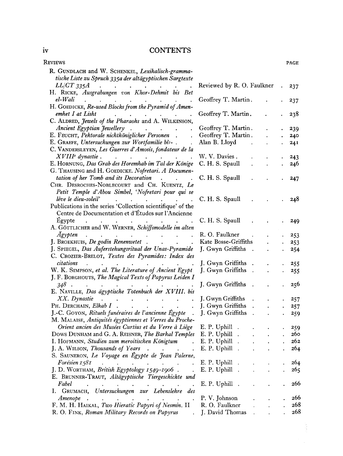#### iv CONTENTS

| <b>KEVIEWS</b>                                                                                                                                                                                          |                              |                      | <b>PAGE</b> |
|---------------------------------------------------------------------------------------------------------------------------------------------------------------------------------------------------------|------------------------------|----------------------|-------------|
| R. GUNDLACH and W. SCHENKEL, Lexikalisch-gramma-                                                                                                                                                        |                              |                      |             |
| tische Liste zu Spruch 335a der altägyptischen Sargtexte                                                                                                                                                |                              |                      |             |
|                                                                                                                                                                                                         | Reviewed by R. O. Faulkner   |                      | 237         |
| LL/CT 335A<br>H. RICKE, Ausgrabungen von Khor-Dehmit bis Bet                                                                                                                                            |                              |                      |             |
| $el$ -Wali<br>$\mathcal{L}^{\mathcal{A}}$ . The contribution of the contribution of the contribution of $\mathcal{L}^{\mathcal{A}}$                                                                     | Geoffrey T. Martin.          |                      | 237         |
| H. GOEDICKE, Re-used Blocks from the Pyramid of Amen-                                                                                                                                                   |                              |                      |             |
| emhet I at Lisht                                                                                                                                                                                        | Geoffrey T. Martin.          |                      | 238         |
| $\mathbf{a}^{(1)}$ , $\mathbf{a}^{(2)}$ , $\mathbf{a}^{(3)}$ , $\mathbf{a}^{(4)}$ , $\mathbf{a}^{(4)}$ , $\mathbf{a}^{(4)}$ , $\mathbf{a}^{(4)}$<br>C. ALDRED, Jewels of the Pharaohs and A. WILKINSON, |                              |                      |             |
| Ancient Egyptian Jewellery                                                                                                                                                                              | Geoffrey T. Martin.          |                      |             |
| E. FEUCHT, Pektorale nichtköniglicher Personen.                                                                                                                                                         | Geoffrey T. Martin.          |                      | 239         |
|                                                                                                                                                                                                         |                              |                      | 240         |
| E. GRAEFE, Untersuchungen zur Wortfamilie bis-.                                                                                                                                                         | Alan B. Lloyd<br>$\sim 100$  |                      | 24I         |
| C. VANDERSLEYEN, Les Guerres d'Amosis, fondateur de la                                                                                                                                                  |                              |                      |             |
| $XVIIIe$ dynastie.<br>$\mathcal{L}(\mathcal{A})$ and $\mathcal{L}(\mathcal{A})$ are also the set of the set of $\mathcal{A}$                                                                            | W. V. Davies.                |                      | 243         |
| E. HORNUNG, Das Grab des Horemhab im Tal der Könige                                                                                                                                                     | C. H. S. Spaull              |                      | 246         |
| G. THAUSING and H. GOEDICKE. Nofretari. A Documen-                                                                                                                                                      |                              |                      |             |
| tation of her Tomb and its Decoration                                                                                                                                                                   | C. H. S. Spaull              |                      | 247         |
| CHR. DESROCHES-NOBLECOURT and CH. KUENTZ, Le                                                                                                                                                            |                              |                      |             |
| Petit Temple d'Abou Simbel, 'Nofretari pour qui se                                                                                                                                                      |                              |                      |             |
| lève le dieu-soleil'<br>$\mathcal{L}(\mathbf{A})$ and $\mathcal{L}(\mathbf{A})$ are also becomes the following                                                                                          | C. H. S. Spaull              |                      | 248         |
| Publications in the series 'Collection scientifique' of the                                                                                                                                             |                              |                      |             |
| Centre de Documentation et d'Études sur l'Ancienne                                                                                                                                                      |                              |                      |             |
| Egypte<br>the contract of the contract of the contract of                                                                                                                                               | C. H. S. Spaull              |                      | 249         |
| A. GÖTTLICHER and W. WERNER, Schiffsmodelle im alten                                                                                                                                                    |                              |                      |             |
| <b>Agypten</b>                                                                                                                                                                                          | R. O. Faulkner               |                      | 253         |
| $\mathcal{L}^{\text{max}}$                                                                                                                                                                              | Kate Bosse-Griffiths         |                      | 253         |
| J. SPIEGEL, Das Auferstehungsritual der Unas-Pyramide                                                                                                                                                   | J. Gwyn Griffiths .          |                      | 254         |
| C. CROZIER-BRELOT, Textes des Pyramides: Index des                                                                                                                                                      |                              |                      |             |
| citations<br>$\mathcal{A}^{\mathcal{A}}$ . The contribution of the contribution of the contribution of $\mathcal{A}^{\mathcal{A}}$                                                                      | J. Gwyn Griffiths .          |                      | 255         |
| W. K. SIMPSON, et al. The Literature of Ancient Egypt                                                                                                                                                   | J. Gwyn Griffiths .          |                      | 255         |
| J. F. BORGHOUTS, The Magical Texts of Papyrus Leiden I                                                                                                                                                  |                              |                      |             |
| $348$ .<br>$\mathcal{L}(\mathcal{A})$ . The contract of the contract of $\mathcal{A}$<br>$\mathbf{r} = \mathbf{r} + \mathbf{r}$ and $\mathbf{r} = \mathbf{r} + \mathbf{r}$                              | J. Gwyn Griffiths .          |                      | 256         |
| E. NAVILLE, Das ägyptische Totenbuch der XVIII. bis                                                                                                                                                     |                              |                      |             |
| XX. Dynastie<br>$\mathbf{u}^{\prime}$ , and $\mathbf{u}^{\prime}$ , and $\mathbf{u}^{\prime}$ , and $\mathbf{u}^{\prime}$ , and $\mathbf{u}^{\prime}$ , and                                             | J. Gwyn Griffiths<br>$\sim$  |                      | 257         |
| PH. DERCHAIN, $Elkab I$ .<br>$\mathcal{L}^{\text{max}}$<br>$\sim 10^{-10}$                                                                                                                              | J. Gwyn Griffiths .          |                      | 257         |
| J.-C. GOYON, Rituels funéraires de l'ancienne Égypte.                                                                                                                                                   | J. Gwyn Griffiths .          | $\ddot{\phantom{a}}$ |             |
| M. MALAISE, Antiquités égyptiennes et Verres du Proche-                                                                                                                                                 |                              |                      | 259         |
| Orient ancien des Musées Curtius et du Verre à Liège E. P. Uphill.                                                                                                                                      |                              |                      |             |
|                                                                                                                                                                                                         |                              |                      | 259         |
| DOWS DUNHAM and G. A. REISNER, The Barkal Temples E. P. Uphill                                                                                                                                          | $\ddot{\phantom{a}}$         |                      | 260         |
| I. HOFMANN, Studien zum meroitischen Königtum                                                                                                                                                           | E. P. Uphill<br>$\mathbb{R}$ |                      | 262         |
| J. A. WILSON, Thousands of Years<br>$\ddot{\phantom{a}}$                                                                                                                                                | E. P. Uphill                 |                      | 264         |
| S. SAUNERON, Le Voyage en Égypte de Jean Palerne,                                                                                                                                                       |                              |                      |             |
| Forésien 1581<br>the contract of the contract of                                                                                                                                                        | E. P. Uphill                 |                      | 264         |
| J. D. WORTHAM, British Egyptology 1549-1906.                                                                                                                                                            | E. P. Uphill                 |                      | 265         |
| E. BRUNNER-TRAUT, Altägyptische Tiergeschichte und                                                                                                                                                      |                              |                      |             |
| Fabel<br>$\bullet$ .<br><br><br><br><br><br><br><br><br><br><br><br><br><br><br><br><br><br><br><br><br><br><br><br><br><br><br><br><br><br><br><br><br><br>                                            | E. P. Uphill                 |                      | 266         |
| I. GRUMACH, Untersuchungen zur Lebenslehre des                                                                                                                                                          |                              |                      |             |
| Amenope<br>$\ddot{\phantom{a}}$<br><b>Contract Contract Street</b><br>$\bullet$ .<br><br><br><br><br><br><br><br><br><br><br><br><br><br><b>Contract Contract</b>                                       | P. V. Johnson                |                      | 266         |
| F. M. H. HAIKAL, Two Hieratic Papyri of Nesmin. II                                                                                                                                                      | R. O. Faulkner               |                      | 268         |
| R. O. FINK, Roman Military Records on Papyrus [J. David Thomas]                                                                                                                                         |                              |                      | 268         |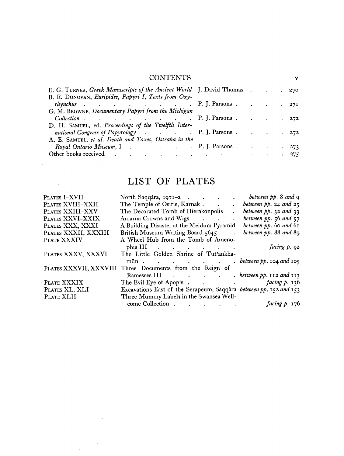#### CONTENTS <sup>v</sup>

| E. G. TURNER, Greek Manuscripts of the Ancient World J. David Thomas 270<br>B. E. DONOVAN, Euripides, Papyri I, Texts from Oxy-                  |  |  |  |
|--------------------------------------------------------------------------------------------------------------------------------------------------|--|--|--|
| <i>rhynchus</i> P. J. Parsons 271                                                                                                                |  |  |  |
| G. M. BROWNE, Documentary Papyri from the Michigan<br><i>Collection</i> P. J. Parsons 272                                                        |  |  |  |
| D. H. SAMUEL, ed. Proceedings of the Twelfth Inter-<br>national Congress of Papyrology (and a control of D. J. Parsons contract a control of 272 |  |  |  |
| A. E. SAMUEL, et al. Death and Taxes, Ostraka in the                                                                                             |  |  |  |
| Royal Ontario Museum, I P. J. Parsons 273                                                                                                        |  |  |  |
| Other books received 275                                                                                                                         |  |  |  |

### LIST OF PLATES

 $\mathcal{O}(\mathcal{O}(\log n))$ 

 $\sim 10^{-11}$ 

| PLATES I-XVII        | North Saqqâra, 1971-2 between pp. 8 and 9                         |                         |
|----------------------|-------------------------------------------------------------------|-------------------------|
| PLATES XVIII-XXII    | The Temple of Osiris, Karnak between pp. 24 and 25                |                         |
| PLATES XXIII-XXV     | The Decorated Tomb of Hierakonpolis                               | between $pp.$ 32 and 33 |
| PLATES XXVI-XXIX     | Amarna Crowns and Wigs between pp. 56 and 57                      |                         |
| PLATES XXX, XXXI     | A Building Disaster at the Meidum Pyramid between pp. 60 and 61   |                         |
| PLATES XXXII, XXXIII | British Museum Writing Board 5645 . between pp. 88 and 89         |                         |
| PLATE XXXIV          | A Wheel Hub from the Tomb of Ameno-                               |                         |
|                      | phis III $\cdots$ $\cdots$ $\cdots$                               | facing $p.92$           |
| PLATES XXXV, XXXVI   | The Little Golden Shrine of Tut'ankha-                            |                         |
|                      | $min$ between pp. 104 and 105                                     |                         |
|                      | PLATES XXXVII, XXXVIII Three Documents from the Reign of          |                         |
|                      | Ramesses III between pp. 112 and 113                              |                         |
| PLATE XXXIX          | The Evil Eye of Apopis facing p. 136                              |                         |
| PLATES XL, XLI       | Excavations East of the Serapeum, Saqqâra between pp. 152 and 153 |                         |
| PLATE XLII           | Three Mummy Labels in the Swansea Well-                           |                         |
|                      |                                                                   | facing $p. 176$         |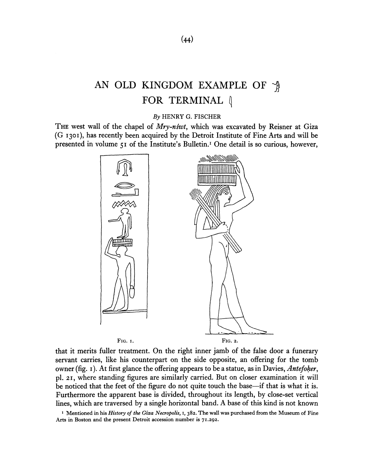## AN OLD KINGDOM EXAMPLE OF  $\hat{\mathcal{A}}$ FOR TERMINAL  $\langle$

*By* HENRY G. FISCHER

THE west wall of the chapel of *Mry-nswt,* which was excavated by Reisner at Giza (G 1301), has recently been acquired by the Detroit Institute of Fine Arts and will be presented in volume 51 of the Institute's Bulletin.<sup>1</sup> One detail is so curious, however,



that it merits fuller treatment. On the right inner jamb of the false door a funerary servant carries, like his counterpart on the side opposite, an offering for the tomb owner (fig. 1). At first glance the offering appears to be a statue, as in Davies, *Antefoker,*  pi. 21, where standing figures are similarly carried. But on closer examination it will be noticed that the feet of the figure do not quite touch the base—if that is what it is. Furthermore the apparent base is divided, throughout its length, by close-set vertical lines, which are traversed by a single horizontal band. A base of this kind is not known

**1 Mentioned in his** *History of the Giza Necropolis,* **I, 382. The wall was purchased from the Museum of Fine Arts in Boston and the present Detroit accession number is 71.292.**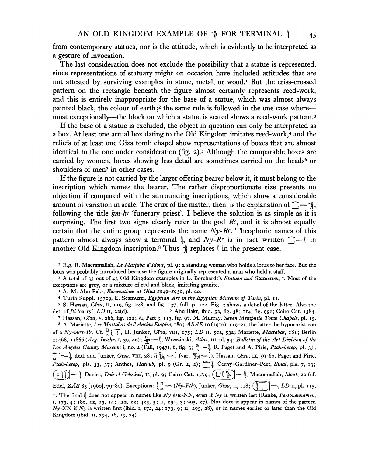from contemporary statues, nor is the attitude, which is evidently to be interpreted as a gesture of invocation.

The last consideration does not exclude the possibility that a statue is represented, since representations of statuary might on occasion have included attitudes that are not attested by surviving examples in stone, metal, or wood.<sup>1</sup> But the criss-crossed pattern on the rectangle beneath the figure almost certainly represents reed-work, and this is entirely inappropriate for the base of a statue, which was almost always painted black, the colour of earth;<sup>2</sup> the same rule is followed in the one case wheremost exceptionally—the block on which a statue is seated shows a reed-work pattern.<sup>3</sup>

If the base of a statue is excluded, the object in question can only be interpreted as a box. At least one actual box dating to the Old Kingdom imitates reed-work,<sup>4</sup> and the reliefs of at least one Giza tomb chapel show representations of boxes that are almost identical to the one under consideration (fig. 2).<sup>5</sup> Although the comparable boxes are carried by women, boxes showing less detail are sometimes carried on the heads<sup>6</sup> or shoulders of men<sup>7</sup> in other cases.

If the figure is not carried by the larger offering bearer below it, it must belong to the inscription which names the bearer. The rather disproportionate size presents no objection if compared with the surrounding inscriptions, which show a considerable amount of variation in scale. The crux of the matter, then, is the explanation of  $\sum_{n=1}^{\infty}$ following the title *hm-h* 'funerary priest'. I believe the solution is as simple as it is surprising. The first two signs clearly refer to the god *Re,* and it is almost equally certain that the entire group represents the name *Ny-Rr.* Theophoric names of this pattern almost always show a terminal  $\parallel$ , and  $Ny-R$  is in fact written  $\bigcap_{m=1}^{\infty}$  in another Old Kingdom inscription.<sup>8</sup> Thus  $\hat{A}$  replaces  $\hat{A}$  in the present case.

1 E.g. R. Macramallah, *Le Masfaba d'Idout,* pi. 9: a standing woman who holds a lotus to her face. But the lotus was probably introduced because the figure originally represented a man who held a staff.

2 A total of 33 out of 43 Old Kingdom examples in L. Borchardt's *Statuen und Statuetten,* 1. Most of the exceptions are grey, or a mixture of red and black, imitating granite.

3 A.-M. Abu Bakr, *Excavations at Giza 1949-1950,* pi. 20.

4 Turin Suppl. 15709, E. Scamuzzi, *Egyptian Art in the Egyptian Museum of Turin,* pi. 11.

5 S. Hassan, *Giza,* 11, 119, fig. 128, and fig. 137, foil. p. 122. Fig. 2 shows a detail of the latter. Also the det. *of pi* 'carry', *LD* 11, 22(d). <sup>6</sup> Abu Bakr, ibid. 52, fig. 38; 114, fig. 95c; Cairo Cat. 1384. 7 Hassan, *Giza,* v, 266, fig. 122; vi, Part 3, 113, fig. 97. M. Murray, *Seven Memphite Tomb Chapels,* pi. 15. 8 A. Mariette, *Les Mastabas de VAncien Empire,* 180; *ASAE* 10 (1910), 119-21, the latter the hypocoristicon of a Ny-m<sup>set</sup>-R<sup>c</sup>. Cf. <sup>[]</sup> { <sup>m</sup><sub>1</sub>, H. Junker, *Giza*, vIII, 175; *LD* II, 50a, 53a; Mariette, *Mastabas*, 181; Berlin 11468, 11866 *(Aeg. Inschr.* 1, 39, 40); \*\* (@www.fluss. Atlas, III, pl. 54; Bulletin of the Art Division of the *Los Angeles County Museum* i, no. 2 (Fall, 1947), 6, fig. 3; <u>®</u> — (, R. Paget and A. Pirie, Ptah-hetep, pl. 33;  $\sum_{n=1}^{\infty}$  ibid. and Junker, *Giza*, viii, 28;  $\sum_{n=1}^{\infty}$  (var.  $\sum_{n=1}^{\infty}$ ), Hassan, *Giza*, ix, 59-60, Paget and Pirie, Ptah-hetep, pls. 33, 37; Anthes, *Hatnub*, pl. 9 (Gr. 2, 2);  $\sum_{n=0}^{\infty}$ , Cerný-Gardiner-Peet, Sinai, pls. 7, 13; ( n *HH* J ""\*\*(]> Davies, *Deir el Gebrdwi,* n, pi. 9; Cairo Cat. 1579; Macramallah, *Idout,* 20 (cf. Edel, ZÄS 85 [1960], 79-80). Exceptions:  $\int_{0}^{\pi}$  — (Ny-Pth), Junker, Gîza, 11, 118; (In ) —, LD 11, pl. 115, 1. The final  $\int$  does not appear in names like *Ny kiw*-NN, even if *Ny* is written last (Ranke, *Personennamen*,

*l ,* <sup>J</sup>73> 4; 180, 12, 13, 14; 422, 22; 423, 5; n, 294, 3; 295, 27). Nor does it appear in names of the pattern Ny-NN if Ny is written first (ibid. 1, 172, 24; 173, 9; 11, 295, 28), or in names earlier or later than the Old Kingdom (ibid. II, 294, 16, 19, 24).